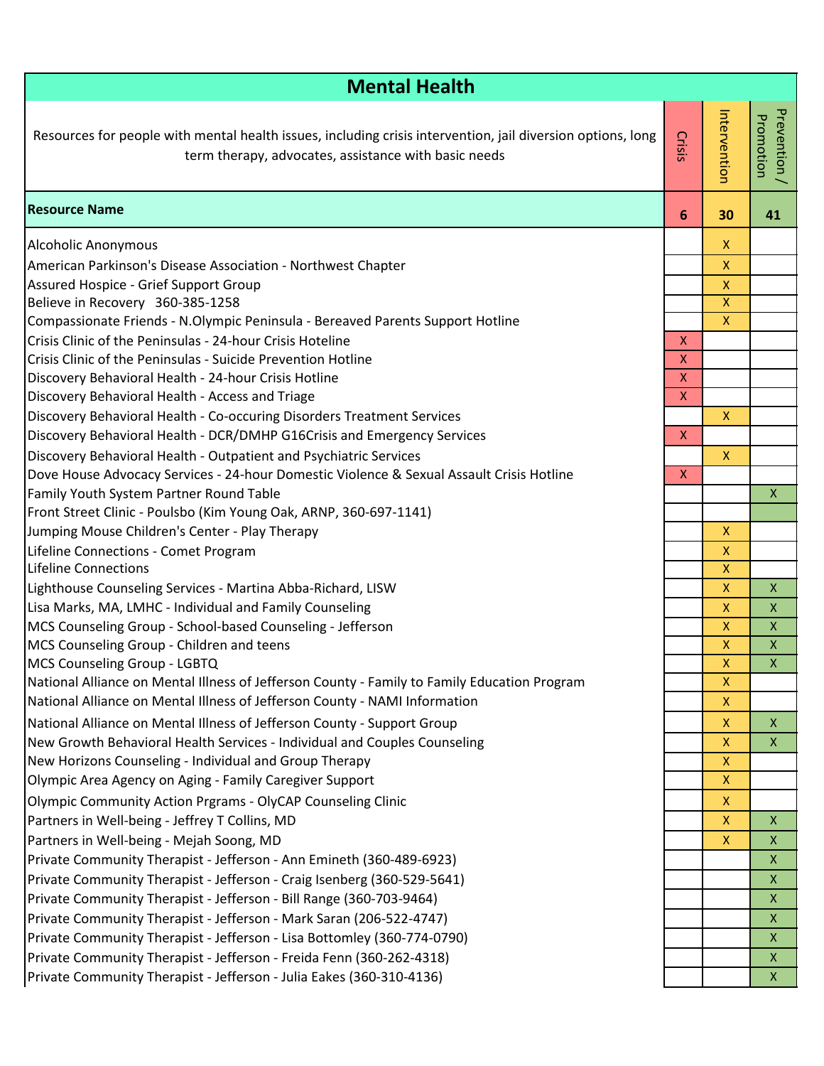| <b>Mental Health</b>                                                                                                                                                |                           |                |                           |  |  |
|---------------------------------------------------------------------------------------------------------------------------------------------------------------------|---------------------------|----------------|---------------------------|--|--|
| Resources for people with mental health issues, including crisis intervention, jail diversion options, long<br>term therapy, advocates, assistance with basic needs | Crisis                    | Intervention   | Prevention /<br>Promotion |  |  |
| <b>Resource Name</b>                                                                                                                                                | 6                         | 30             | 41                        |  |  |
| Alcoholic Anonymous                                                                                                                                                 |                           | X.             |                           |  |  |
| American Parkinson's Disease Association - Northwest Chapter                                                                                                        |                           | X.             |                           |  |  |
| Assured Hospice - Grief Support Group                                                                                                                               |                           | $\mathsf{X}$   |                           |  |  |
| Believe in Recovery 360-385-1258                                                                                                                                    |                           | $\overline{X}$ |                           |  |  |
| Compassionate Friends - N.Olympic Peninsula - Bereaved Parents Support Hotline                                                                                      |                           | X.             |                           |  |  |
| Crisis Clinic of the Peninsulas - 24-hour Crisis Hoteline                                                                                                           | X<br>$\mathsf{X}$         |                |                           |  |  |
| Crisis Clinic of the Peninsulas - Suicide Prevention Hotline<br>Discovery Behavioral Health - 24-hour Crisis Hotline                                                | $\boldsymbol{\mathsf{X}}$ |                |                           |  |  |
| Discovery Behavioral Health - Access and Triage                                                                                                                     | $\mathsf{X}$              |                |                           |  |  |
| Discovery Behavioral Health - Co-occuring Disorders Treatment Services                                                                                              |                           | X              |                           |  |  |
| Discovery Behavioral Health - DCR/DMHP G16Crisis and Emergency Services                                                                                             | $\pmb{\times}$            |                |                           |  |  |
| Discovery Behavioral Health - Outpatient and Psychiatric Services                                                                                                   |                           | $\mathsf{X}$   |                           |  |  |
| Dove House Advocacy Services - 24-hour Domestic Violence & Sexual Assault Crisis Hotline                                                                            | $\boldsymbol{X}$          |                |                           |  |  |
| Family Youth System Partner Round Table                                                                                                                             |                           |                | X                         |  |  |
| Front Street Clinic - Poulsbo (Kim Young Oak, ARNP, 360-697-1141)                                                                                                   |                           |                |                           |  |  |
| Jumping Mouse Children's Center - Play Therapy                                                                                                                      |                           | X.             |                           |  |  |
| Lifeline Connections - Comet Program                                                                                                                                |                           | X.             |                           |  |  |
| <b>Lifeline Connections</b>                                                                                                                                         |                           | X              |                           |  |  |
| Lighthouse Counseling Services - Martina Abba-Richard, LISW                                                                                                         |                           | X.             | $\pmb{\mathsf{X}}$        |  |  |
| Lisa Marks, MA, LMHC - Individual and Family Counseling                                                                                                             |                           | X.             | X                         |  |  |
| MCS Counseling Group - School-based Counseling - Jefferson<br>MCS Counseling Group - Children and teens                                                             |                           | X.<br>X.       | X<br>$\pmb{\mathsf{X}}$   |  |  |
| MCS Counseling Group - LGBTQ                                                                                                                                        |                           | X.             | X                         |  |  |
| National Alliance on Mental Illness of Jefferson County - Family to Family Education Program                                                                        |                           | X.             |                           |  |  |
| National Alliance on Mental Illness of Jefferson County - NAMI Information                                                                                          |                           | $\mathsf X$    |                           |  |  |
| National Alliance on Mental Illness of Jefferson County - Support Group                                                                                             |                           | X.             | $\pmb{\mathsf{X}}$        |  |  |
| New Growth Behavioral Health Services - Individual and Couples Counseling                                                                                           |                           | X.             | X                         |  |  |
| New Horizons Counseling - Individual and Group Therapy                                                                                                              |                           | $\mathsf{X}$   |                           |  |  |
| Olympic Area Agency on Aging - Family Caregiver Support                                                                                                             |                           | X.             |                           |  |  |
| <b>Olympic Community Action Prgrams - OlyCAP Counseling Clinic</b>                                                                                                  |                           | X              |                           |  |  |
| Partners in Well-being - Jeffrey T Collins, MD                                                                                                                      |                           | X.             | $\boldsymbol{X}$          |  |  |
| Partners in Well-being - Mejah Soong, MD                                                                                                                            |                           | X              | X                         |  |  |
| Private Community Therapist - Jefferson - Ann Emineth (360-489-6923)                                                                                                |                           |                | X                         |  |  |
| Private Community Therapist - Jefferson - Craig Isenberg (360-529-5641)                                                                                             |                           |                | X                         |  |  |
| Private Community Therapist - Jefferson - Bill Range (360-703-9464)                                                                                                 |                           |                | X                         |  |  |
| Private Community Therapist - Jefferson - Mark Saran (206-522-4747)                                                                                                 |                           |                | X                         |  |  |
| Private Community Therapist - Jefferson - Lisa Bottomley (360-774-0790)                                                                                             |                           |                | X                         |  |  |
| Private Community Therapist - Jefferson - Freida Fenn (360-262-4318)                                                                                                |                           |                | $\pmb{\mathsf{X}}$        |  |  |
| Private Community Therapist - Jefferson - Julia Eakes (360-310-4136)                                                                                                |                           |                | X                         |  |  |